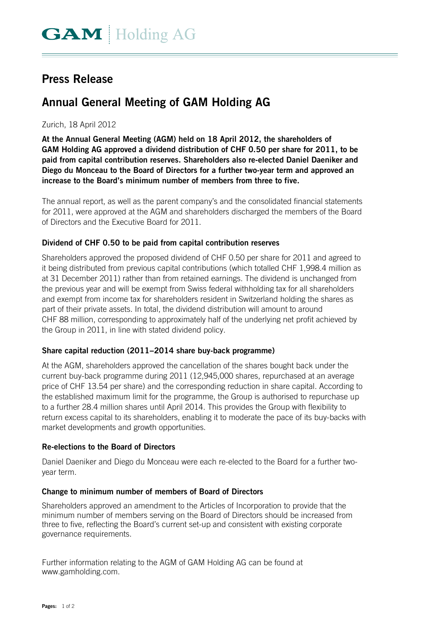# **Press Release**

# **Annual General Meeting of GAM Holding AG**

### Zurich, 18 April 2012

**At the Annual General Meeting (AGM) held on 18 April 2012, the shareholders of GAM Holding AG approved a dividend distribution of CHF 0.50 per share for 2011, to be paid from capital contribution reserves. Shareholders also re-elected Daniel Daeniker and Diego du Monceau to the Board of Directors for a further two-year term and approved an increase to the Board's minimum number of members from three to five.** 

The annual report, as well as the parent company's and the consolidated financial statements for 2011, were approved at the AGM and shareholders discharged the members of the Board of Directors and the Executive Board for 2011.

#### **Dividend of CHF 0.50 to be paid from capital contribution reserves**

Shareholders approved the proposed dividend of CHF 0.50 per share for 2011 and agreed to it being distributed from previous capital contributions (which totalled CHF 1,998.4 million as at 31 December 2011) rather than from retained earnings. The dividend is unchanged from the previous year and will be exempt from Swiss federal withholding tax for all shareholders and exempt from income tax for shareholders resident in Switzerland holding the shares as part of their private assets. In total, the dividend distribution will amount to around CHF 88 million, corresponding to approximately half of the underlying net profit achieved by the Group in 2011, in line with stated dividend policy.

#### **Share capital reduction (2011–2014 share buy-back programme)**

At the AGM, shareholders approved the cancellation of the shares bought back under the current buy-back programme during 2011 (12,945,000 shares, repurchased at an average price of CHF 13.54 per share) and the corresponding reduction in share capital. According to the established maximum limit for the programme, the Group is authorised to repurchase up to a further 28.4 million shares until April 2014. This provides the Group with flexibility to return excess capital to its shareholders, enabling it to moderate the pace of its buy-backs with market developments and growth opportunities.

#### **Re-elections to the Board of Directors**

Daniel Daeniker and Diego du Monceau were each re-elected to the Board for a further twoyear term.

#### **Change to minimum number of members of Board of Directors**

Shareholders approved an amendment to the Articles of Incorporation to provide that the minimum number of members serving on the Board of Directors should be increased from three to five, reflecting the Board's current set-up and consistent with existing corporate governance requirements.

Further information relating to the AGM of GAM Holding AG can be found at www.gamholding.com.